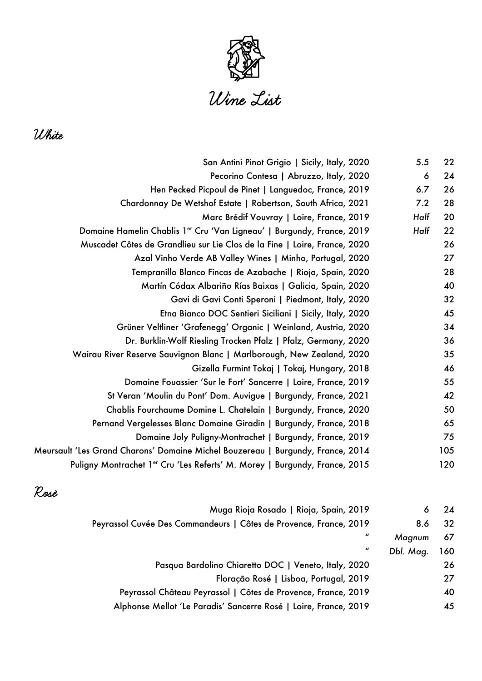

White

| 22  | 5.5  | San Antini Pinot Grigio   Sicily, Italy, 2020                                   |
|-----|------|---------------------------------------------------------------------------------|
| 24  | 6    | Pecorino Contesa   Abruzzo, Italy, 2020                                         |
| 26  | 6.7  | Hen Pecked Picpoul de Pinet   Languedoc, France, 2019                           |
| 28  | 7.2  | Chardonnay De Wetshof Estate   Robertson, South Africa, 2021                    |
| 20  | Half | Marc Brédif Vouvray   Loire, France, 2019                                       |
| 22  | Half | Domaine Hamelin Chablis 1er Cru 'Van Ligneau'   Burgundy, France, 2019          |
| 26  |      | Muscadet Côtes de Grandlieu sur Lie Clos de la Fine   Loire, France, 2020       |
| 27  |      | Azal Vinho Verde AB Valley Wines   Minho, Portugal, 2020                        |
| 28  |      | Tempranillo Blanco Fincas de Azabache   Rioja, Spain, 2020                      |
| 40  |      | Martín Códax Albariño Rías Baixas   Galicia, Spain, 2020                        |
| 32  |      | Gavi di Gavi Conti Speroni   Piedmont, Italy, 2020                              |
| 45  |      | Etna Bianco DOC Sentieri Siciliani   Sicily, Italy, 2020                        |
| 34  |      | Grüner Veltliner 'Grafenegg' Organic   Weinland, Austria, 2020                  |
| 36  |      | Dr. Burklin-Wolf Riesling Trocken Pfalz   Pfalz, Germany, 2020                  |
| 35  |      | Wairau River Reserve Sauvignon Blanc   Marlborough, New Zealand, 2020           |
| 46  |      | Gizella Furmint Tokaj   Tokaj, Hungary, 2018                                    |
| 55  |      | Domaine Fouassier 'Sur le Fort' Sancerre   Loire, France, 2019                  |
| 42  |      | St Veran 'Moulin du Pont' Dom. Auvigue   Burgundy, France, 2021                 |
| 50  |      | Chablis Fourchaume Domine L. Chatelain   Burgundy, France, 2020                 |
| 65  |      | Pernand Vergelesses Blanc Domaine Giradin   Burgundy, France, 2018              |
| 75  |      | Domaine Joly Puligny-Montrachet   Burgundy, France, 2019                        |
| 105 |      | Meursault 'Les Grand Charons' Domaine Michel Bouzereau   Burgundy, France, 2014 |
| 120 |      | Puligny Montrachet 1er Cru 'Les Referts' M. Morey   Burgundy, France, 2015      |
|     |      |                                                                                 |

## Rosé

| 24  | 6         | Muga Rioja Rosado   Rioja, Spain, 2019                            |
|-----|-----------|-------------------------------------------------------------------|
| 32  | 8.6       | Peyrassol Cuvée Des Commandeurs   Côtes de Provence, France, 2019 |
| 67  | Magnum    | $\boldsymbol{u}$                                                  |
| 160 | Dbl. Mag. | $\boldsymbol{u}$                                                  |
| 26  |           | Pasqua Bardolino Chiaretto DOC   Veneto, Italy, 2020              |
| 27  |           | Floração Rosé   Lisboa, Portugal, 2019                            |
| 40  |           | Peyrassol Château Peyrassol   Côtes de Provence, France, 2019     |
| 45  |           | Alphonse Mellot 'Le Paradis' Sancerre Rosé   Loire, France, 2019  |
|     |           |                                                                   |